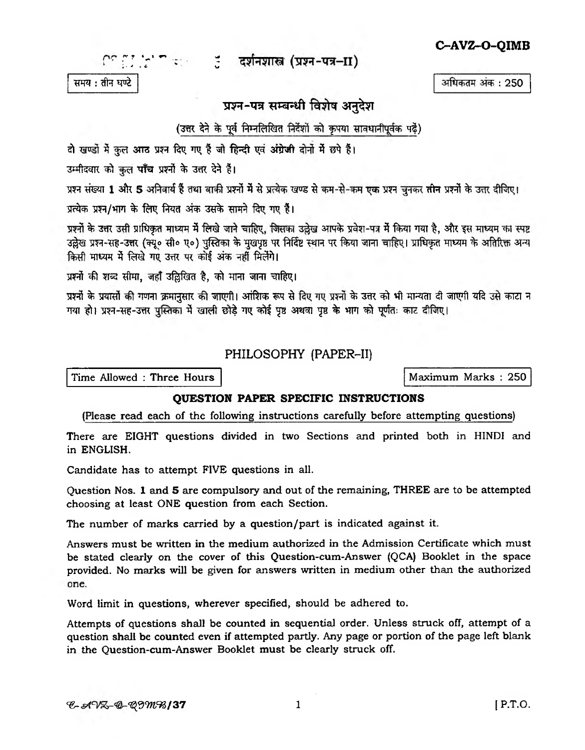$C^{c}$ ी  $\gamma$ ' = संबंधितशास्त्र (प्रश्न-पत्र-II)

समय : तीन घण्टे

## प्रश्न-पत्र सम्बन्धी विशेष अनुदेश

(उत्तर देने के पूर्व निम्नलिखित निर्देशों को कृपया सावधानीपूर्वक पढ़ें)

दो खण्डों में कुल आठ प्रश्न दिए गए हैं जो हिन्दी एवं अंग्रेजी दोनों में छपे हैं।

उम्मीदवार को कुल पाँच प्रश्नों के उत्तर देने हैं।

प्रश्न संख्या 1 और 5 अनिवार्य हैं तथा बाकी प्रश्नों में से प्रत्येक खण्ड से कम-से-कम एक प्रश्न चुनकर तीन प्रश्नों के उत्तर दीजिए।

प्रत्येक प्रश्न/भाग के लिए नियत अंक उसके सामने दिए गए हैं।

प्रश्नों के उत्तर उसी प्राधिकृत माध्यम में लिखे जाने चाहिए, जिसका उल्लेख आपके प्रवेश-पत्र में किया गया है, और इस माध्यम का स्पष्ट उल्लेख प्रश्न-सह-उत्तर (क्यू० सी० ए०) पुस्तिका के मुखपृष्ठ पर निर्दिष्ट स्थान पर किया जाना चाहिए। प्राधिकृत माध्यम के अतिरिक्त अन्य किसी माध्यम में लिखे गए उत्तर पर कोई अंक नहीं मिलेंगे।

प्रश्नों की शब्द सीमा, जहाँ उद्घिखित है, को भाना जाना चाहिए।

प्रश्नों के प्रयासों की गणना क्रमानुसार की जाएगी। आंशिक रूप से दिए गए प्रश्नों के उत्तर को भी मान्यता दी जाएगी यदि उसे काटा न गया हो। प्रश्न-सह-उत्तर पुस्तिका में खाली छोड़े गए कोई पृष्ठ अथवा पृष्ठ के भाग को पूर्णतः काट दीजिए।

## PHILOSOPHY (PAPER-II)

Time Allowed : Three Hours

**OUESTION PAPER SPECIFIC INSTRUCTIONS** 

(Please read each of the following instructions carefully before attempting questions)

There are EIGHT questions divided in two Sections and printed both in HINDI and in ENGLISH.

Candidate has to attempt FIVE questions in all.

Question Nos. 1 and 5 are compulsory and out of the remaining, THREE are to be attempted choosing at least ONE question from each Section.

The number of marks carried by a question/part is indicated against it.

Answers must be written in the medium authorized in the Admission Certificate which must be stated clearly on the cover of this Question-cum-Answer (QCA) Booklet in the space provided. No marks will be given for answers written in medium other than the authorized one.

Word limit in questions, wherever specified, should be adhered to.

Attempts of questions shall be counted in sequential order. Unless struck off, attempt of a question shall be counted even if attempted partly. Any page or portion of the page left blank in the Question-cum-Answer Booklet must be clearly struck off.

अधिकतम अंक: 250

C-AVZ-O-OIMB

Maximum Marks: 250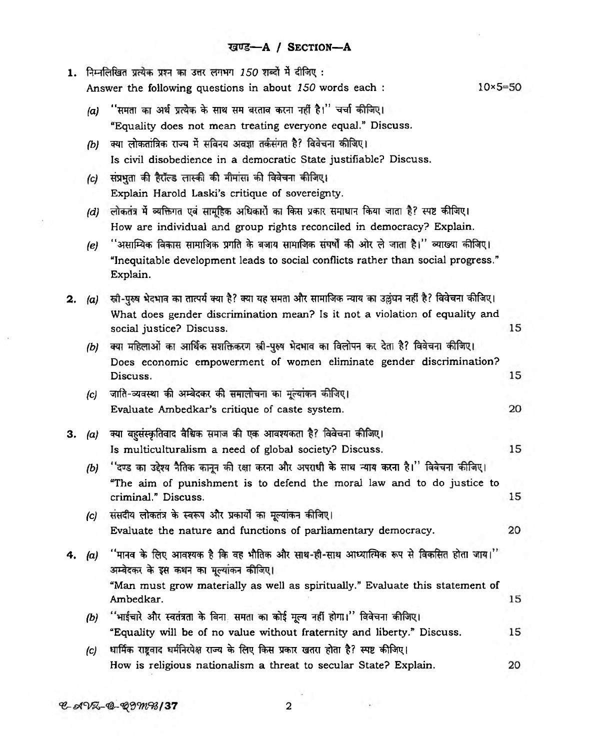|    |                   | 1. निम्नलिखित प्रत्येक प्रश्न का उत्तर लगभग 150 शब्दों में दीजिए :                                                                                                               |                   |
|----|-------------------|----------------------------------------------------------------------------------------------------------------------------------------------------------------------------------|-------------------|
|    |                   | Answer the following questions in about 150 words each :                                                                                                                         | $10\times 5 = 50$ |
|    | (a)               | ''समता का अर्थ प्रत्येक के साथ सम बरताव करना नहीं है।'' चर्चा कीजिए।                                                                                                             |                   |
|    |                   | "Equality does not mean treating everyone equal." Discuss.                                                                                                                       |                   |
|    | $\left( b\right)$ | क्या लोकतांत्रिक राज्य में सविनय अवज्ञा तर्कसंगत है? विवेचना कीजिए।                                                                                                              |                   |
|    |                   | Is civil disobedience in a democratic State justifiable? Discuss.                                                                                                                |                   |
|    | (c)               | संप्रभुता की हैरॉल्ड लास्की की मीमांसा की विवेचना कीजिए।                                                                                                                         |                   |
|    |                   | Explain Harold Laski's critique of sovereignty.                                                                                                                                  |                   |
|    | (d)               | लोकतंत्र में व्यक्तिगत एवं सामूहिक अधिकारों का किस प्रकार समाधान किया जाता है? स्पष्ट कीजिए।                                                                                     |                   |
|    |                   | How are individual and group rights reconciled in democracy? Explain.                                                                                                            |                   |
|    | (e)               | ''असाम्यिक विकास सामाजिक प्रगति के बजाय सामाजिक संघर्षों की ओर ले जाता है।'' व्याख्या कीजिए।<br>"Inequitable development leads to social conflicts rather than social progress." |                   |
|    |                   | Explain.                                                                                                                                                                         |                   |
| 2. | (a)               | स्त्री-पुरुष भेदभाव का तात्पर्य क्या है? क्या यह समता और सामाजिक न्याय का उल्लंघन नहीं है? विवेचना कीजिए।                                                                        |                   |
|    |                   | What does gender discrimination mean? Is it not a violation of equality and                                                                                                      |                   |
|    |                   | social justice? Discuss.                                                                                                                                                         | 15                |
|    | (b)               | क्या महिलाओं का आर्थिक सशक्तिकरण स्त्री-पुरुष भेदभाव का विलोपन कर देता है? विवेचना कीजिए।                                                                                        |                   |
|    |                   | Does economic empowerment of women eliminate gender discrimination?<br>Discuss.                                                                                                  | 15                |
|    | (c)               | जाति-व्यवस्था की अम्बेदकर की समालोचना का मूल्यांकन कीजिए।                                                                                                                        |                   |
|    |                   | Evaluate Ambedkar's critique of caste system.                                                                                                                                    | 20                |
| З. | (a)               | क्या बहुसंस्कृतिवाद वैश्विक समाज की एक आवश्यकता है? विवेचना कीजिए।                                                                                                               |                   |
|    |                   | Is multiculturalism a need of global society? Discuss.                                                                                                                           | 15                |
|    | (b)               | ''दण्ड का उद्देश्य नैतिक कानून की रक्षा करना और अपराधी के साथ न्याय करना है।'' विवेचना कीजिए।                                                                                    |                   |
|    |                   | "The aim of punishment is to defend the moral law and to do justice to                                                                                                           |                   |
|    |                   | criminal." Discuss.                                                                                                                                                              | 15                |
|    | (c)               | संसदीय लोकतंत्र के स्वरूप और प्रकार्यों का मूल्यांकन कीजिए।                                                                                                                      |                   |
|    |                   | Evaluate the nature and functions of parliamentary democracy.                                                                                                                    | 20                |
| 4. | (a)               | ''मानव के लिए आवश्यक है कि वह भौतिक और साथ-ही-साथ आध्यात्मिक रूप से विकसित होता जाय।''<br>अम्बेदकर के इस कथन का मूल्यांकन कीजिए।                                                 |                   |
|    |                   | "Man must grow materially as well as spiritually." Evaluate this statement of                                                                                                    |                   |
|    |                   | Ambedkar.                                                                                                                                                                        | 15                |
|    | (b)               | ''भाईचारे और स्वतंत्रता के बिना, समता का कोई मूल्य नहीं होगा।'' विवेचना कीजिए।<br>"Equality will be of no value without fraternity and liberty." Discuss.                        | 15                |
|    |                   | धार्मिक राष्ट्रवाद धर्मनिरपेक्ष राज्य के लिए किस प्रकार खतरा होता है? स्पष्ट कीजिए।                                                                                              |                   |
|    | (c)               | How is religious nationalism a threat to secular State? Explain.                                                                                                                 | 20                |
|    |                   |                                                                                                                                                                                  |                   |

 $C-AVZ-Q-Q9mB/37$ 

 $\overline{2}$ 

 $\overline{\phantom{a}}$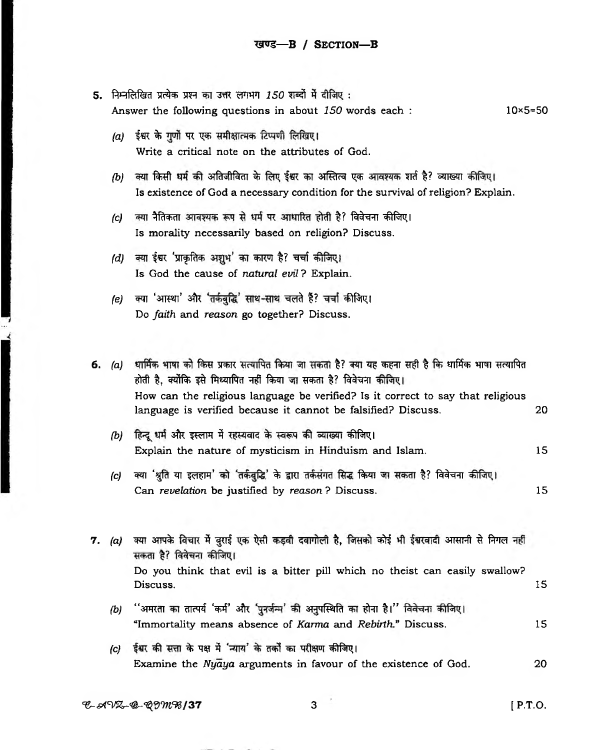- 5. निम्नलिखित प्रत्येक प्रश्न का उत्तर लगभग 150 शब्दों में दीजिए: Answer the following questions in about 150 words each :  $10\times 5 = 50$ 
	- (a) ईश्वर के गुणों पर एक समीक्षात्मक टिप्पणी लिखिए। Write a critical note on the attributes of God.
	- /b) क्या किसी धर्म की अतिजीविता के लिए ईश्वर का अस्तित्व एक आवश्यक शर्त है? व्याख्या कीजिए। Is existence of God a necessary condition for the survival of religion? Explain.
	- (c) क्या नैतिकता आवश्यक रूप से धर्म पर आधारित होती है? विवेचना कीजिए। Is morality necessarily based on religion? Discuss.
	- (d) क्या ईश्वर 'प्राकृतिक अशुभ' का कारण है? चर्चा कीजिए। Is God the cause of natural evil? Explain.
	- (e) क्या 'आस्था' और 'तर्कबुद्धि' साथ-साथ चलते हैं? चर्चा कीजिए। Do faith and reason go together? Discuss.
- 6. (a) धार्मिक भाषा को किस प्रकार सत्यापित किया जा सकता है? क्या यह कहना सही है कि धार्मिक भाषा सत्यापित होती है, क्योंकि इसे मिथ्यापित नहीं किया जा सकता है? विवेचना कीजिए। How can the religious language be verified? Is it correct to say that religious language is verified because it cannot be falsified? Discuss. 20
	- (b) हिन्दू धर्म और इस्लाम में रहस्यवाद के स्वरूप की व्याख्या कीजिए। Explain the nature of mysticism in Hinduism and Islam. 15
	- क्या 'श्रुति या इलहाम' को 'तर्कबुद्धि' के द्वारा तर्कसंगत सिद्ध किया जा सकता है? विवेचना कीजिए।  $\left( c\right)$ Can revelation be justified by reason? Discuss.
- 7. (a) क्या आपके विचार में बुराई एक ऐसी कड़वी दवागोली है, जिसको कोई भी ईश्वरवादी आसानी से निगल नहीं सकता है? विवेचना कीजिए। Do you think that evil is a bitter pill which no theist can easily swallow? Discuss. 15 ''अमरता का तात्पर्य 'कर्म' और 'पुनर्जन्म' की अनुपस्थिति का होना है।'' विवेचना कीजिए।  $(b)$ 
	- "Immortality means absence of Karma and Rebirth." Discuss. 15
	- (c) ईश्वर की सत्ता के पक्ष में 'न्याय' के तर्कों का परीक्षण कीजिए। Examine the Nyaya arguments in favour of the existence of God. 20

15